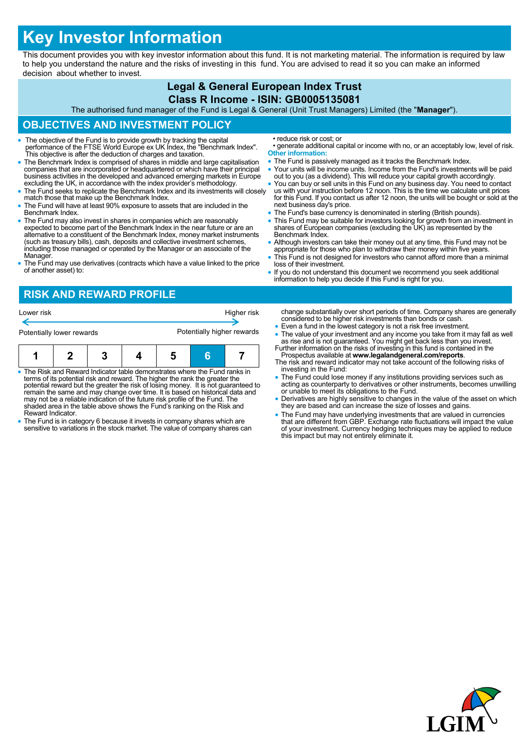# **Key Investor Information**

This document provides you with key investor information about this fund. It is not marketing material. The information is required by law to help you understand the nature and the risks of investing in this fund. You are advised to read it so you can make an informed decision about whether to invest.

#### **Legal & General European Index Trust Class R Income - ISIN: GB0005135081** The authorised fund manager of the Fund is Legal & General (Unit Trust Managers) Limited (the "**Manager**"). **OBJECTIVES AND INVESTMENT POLICY** The objective of the Fund is to provide growth by tracking the capital performance of the FTSE World Europe ex UK Index, the "Benchmark Index". This objective is after the deduction of charges and taxation. The Benchmark Index is comprised of shares in middle and large capitalisation companies that are incorporated or headquartered or which have their principal business activities in the developed and advanced emerging markets in Europe excluding the UK, in accordance with the index provider's methodology. • The Fund seeks to replicate the Benchmark Index and its investments will closely match those that make up the Benchmark Index. The Fund will have at least 90% exposure to assets that are included in the Benchmark Index. The Fund may also invest in shares in companies which are reasonably expected to become part of the Benchmark Index in the near future or are an alternative to a constituent of the Benchmark Index, money market instruments (such as treasury bills), cash, deposits and collective investment schemes, including those managed or operated by the Manager or an associate of the Manager. The Fund may use derivatives (contracts which have a value linked to the price of another asset) to: • reduce risk or cost; or • generate additional capital or income with no, or an acceptably low, level of risk. **Other information:** • The Fund is passively managed as it tracks the Benchmark Index. Your units will be income units. Income from the Fund's investments will be paid out to you (as a dividend). This will reduce your capital growth accordingly. You can buy or sell units in this Fund on any business day. You need to contact us with your instruction before 12 noon. This is the time we calculate unit prices for this Fund. If you contact us after 12 noon, the units will be bought or sold at the next business day's price. • The Fund's base currency is denominated in sterling (British pounds). This Fund may be suitable for investors looking for growth from an investment in shares of European companies (excluding the UK) as represented by the Benchmark Index. • Although investors can take their money out at any time, this Fund may not be appropriate for those who plan to withdraw their money within five years. This Fund is not designed for investors who cannot afford more than a minimal loss of their investment. If you do not understand this document we recommend you seek additional information to help you decide if this Fund is right for you. **RISK AND REWARD PROFILE** change substantially over short periods of time. Company shares are generally considered to be higher risk investments than bonds or cash. Even a fund in the lowest category is not a risk free investment. • The value of your investment and any income you take from it may fall as well as rise and is not guaranteed. You might get back less than you invest. Further information on the risks of investing in this fund is contained in the Lower risk **Higher risk** Potentially lower rewards **Potentially higher rewards**

- The Risk and Reward Indicator table demonstrates where the Fund ranks in terms of its potential risk and reward. The higher the rank the greater the potential reward but the greater the risk of losing money. It is not guaranteed to remain the same and may change over time. It is based on historical data and may not be a reliable indication of the future risk profile of the Fund. The **1 2 3 4 5 6 7**
- shaded area in the table above shows the Fund's ranking on the Risk and Reward Indicator. The Fund is in category 6 because it invests in company shares which are
- sensitive to variations in the stock market. The value of company shares can
- Prospectus available at **www.legalandgeneral.com/reports**. The risk and reward indicator may not take account of the following risks of
- investing in the Fund:
- The Fund could lose money if any institutions providing services such as acting as counterparty to derivatives or other instruments, becomes unwilling or unable to meet its obligations to the Fund.
- Derivatives are highly sensitive to changes in the value of the asset on which they are based and can increase the size of losses and gains.
- The Fund may have underlying investments that are valued in currencies that are different from GBP. Exchange rate fluctuations will impact the value of your investment. Currency hedging techniques may be applied to reduce this impact but may not entirely eliminate it.